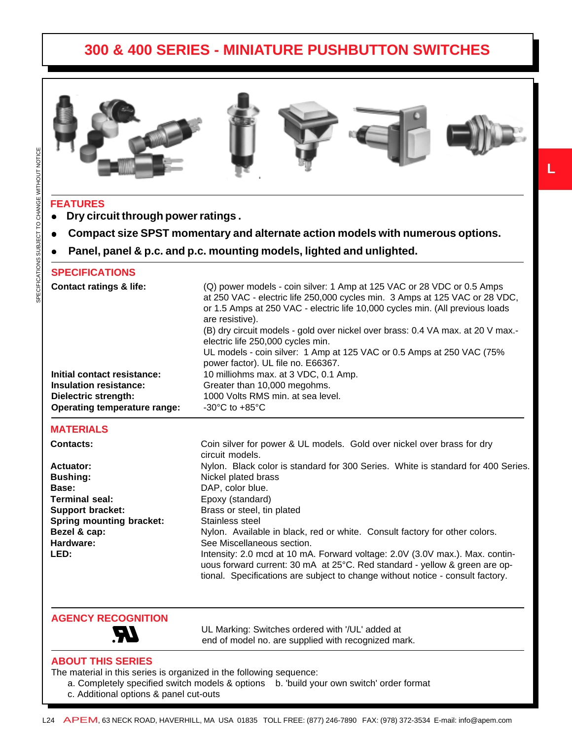

**L**

### **FEATURES**

- **•** Dry circuit through power ratings .
- <sup>z</sup>**Compact size SPST momentary and alternate action models with numerous options.**
- Panel, panel & p.c. and p.c. mounting models, lighted and unlighted.

#### **SPECIFICATIONS**

| <b>Contact ratings &amp; life:</b> | (Q) power models - coin silver: 1 Amp at 125 VAC or 28 VDC or 0.5 Amps<br>at 250 VAC - electric life 250,000 cycles min. 3 Amps at 125 VAC or 28 VDC,<br>or 1.5 Amps at 250 VAC - electric life 10,000 cycles min. (All previous loads<br>are resistive).<br>(B) dry circuit models - gold over nickel over brass: 0.4 VA max. at 20 V max.-<br>electric life 250,000 cycles min. |
|------------------------------------|-----------------------------------------------------------------------------------------------------------------------------------------------------------------------------------------------------------------------------------------------------------------------------------------------------------------------------------------------------------------------------------|
|                                    | UL models - coin silver: 1 Amp at 125 VAC or 0.5 Amps at 250 VAC (75%<br>power factor). UL file no. E66367.                                                                                                                                                                                                                                                                       |
| Initial contact resistance:        | 10 milliohms max. at 3 VDC, 0.1 Amp.                                                                                                                                                                                                                                                                                                                                              |
| <b>Insulation resistance:</b>      | Greater than 10,000 megohms.                                                                                                                                                                                                                                                                                                                                                      |
| Dielectric strength:               | 1000 Volts RMS min. at sea level.                                                                                                                                                                                                                                                                                                                                                 |
| Operating temperature range:       | $-30^{\circ}$ C to $+85^{\circ}$ C                                                                                                                                                                                                                                                                                                                                                |

#### **MATERIALS**

| <b>Contacts:</b>                | Coin silver for power & UL models. Gold over nickel over brass for dry<br>circuit models.                                                                                                                                                    |  |  |
|---------------------------------|----------------------------------------------------------------------------------------------------------------------------------------------------------------------------------------------------------------------------------------------|--|--|
| Actuator:                       | Nylon. Black color is standard for 300 Series. White is standard for 400 Series.                                                                                                                                                             |  |  |
| <b>Bushing:</b>                 | Nickel plated brass                                                                                                                                                                                                                          |  |  |
| Base:                           | DAP, color blue.                                                                                                                                                                                                                             |  |  |
| <b>Terminal seal:</b>           | Epoxy (standard)                                                                                                                                                                                                                             |  |  |
| <b>Support bracket:</b>         | Brass or steel, tin plated                                                                                                                                                                                                                   |  |  |
| <b>Spring mounting bracket:</b> | Stainless steel                                                                                                                                                                                                                              |  |  |
| Bezel & cap:                    | Nylon. Available in black, red or white. Consult factory for other colors.                                                                                                                                                                   |  |  |
| Hardware:                       | See Miscellaneous section.                                                                                                                                                                                                                   |  |  |
| LED:                            | Intensity: 2.0 mcd at 10 mA. Forward voltage: 2.0V (3.0V max.). Max. contin-<br>uous forward current: 30 mA at 25°C. Red standard - yellow & green are op-<br>tional. Specifications are subject to change without notice - consult factory. |  |  |

**AGENCY RECOGNITION**

 UL Marking: Switches ordered with '/UL' added at end of model no. are supplied with recognized mark.

#### **ABOUT THIS SERIES**

The material in this series is organized in the following sequence:

- a. Completely specified switch models & options b. 'build your own switch' order format
- c. Additional options & panel cut-outs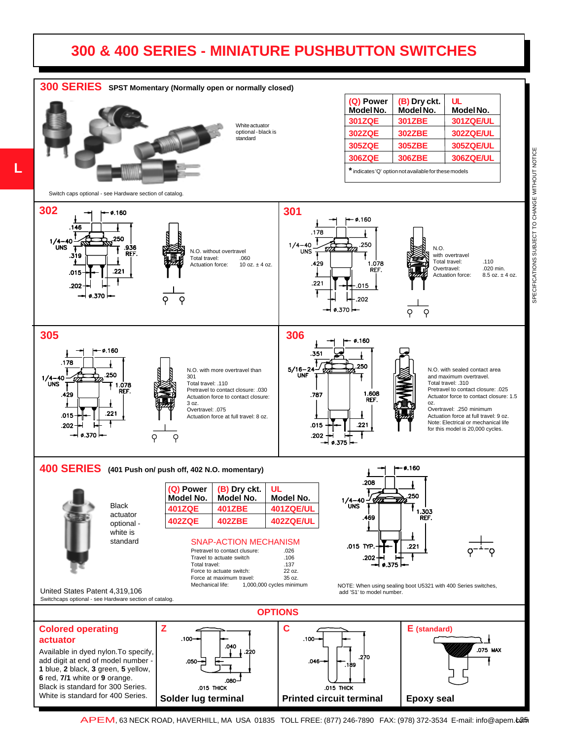**L**



SPECIFICATIONS SUBJECT TO CHANGE WITHOUT NOTICE SPECIFICATIONS SUBJECT TO CHANGE WITHOUT NOTICE

APEM, 63 NECK ROAD, HAVERHILL, MA USA 01835 TOLL FREE: (877) 246-7890 FAX: (978) 372-3534 E-mail: info@apem.ca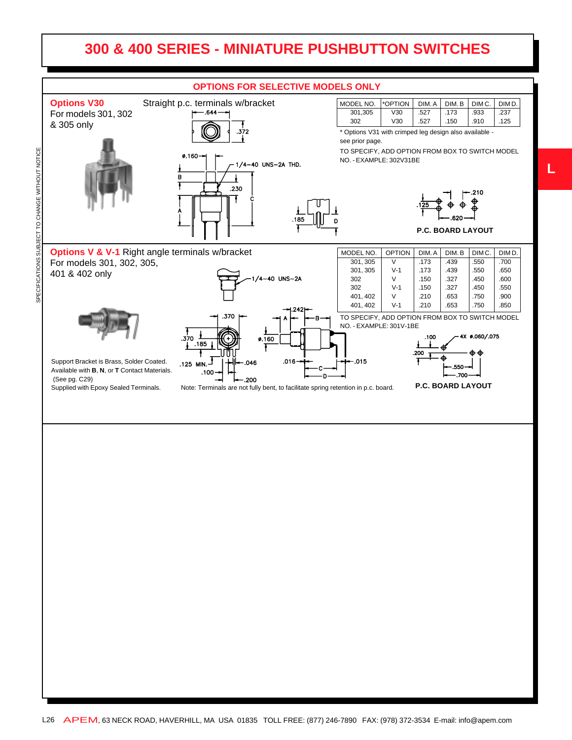

L26 APEM, 63 NECK ROAD, HAVERHILL, MA USA 01835 TOLL FREE: (877) 246-7890 FAX: (978) 372-3534 E-mail: info@apem.com

**L**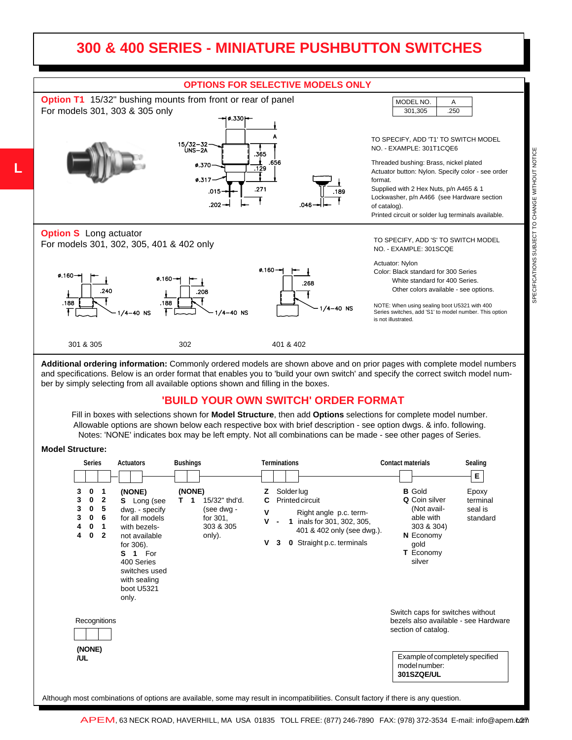

**Additional ordering information:** Commonly ordered models are shown above and on prior pages with complete model numbers and specifications. Below is an order format that enables you to 'build your own switch' and specify the correct switch model number by simply selecting from all available options shown and filling in the boxes.

#### **'BUILD YOUR OWN SWITCH' ORDER FORMAT**

Fill in boxes with selections shown for **Model Structure**, then add **Options** selections for complete model number. Allowable options are shown below each respective box with brief description - see option dwgs. & info. following. Notes: 'NONE' indicates box may be left empty. Not all combinations can be made - see other pages of Series.

#### **Model Structure:**

| <b>Series</b>                                                                                                 | <b>Actuators</b>                                                                                                                                                                                    | <b>Bushings</b>                                                                     | <b>Terminations</b>                                                                                                                                                                                                                 | <b>Contact materials</b><br>Sealing                                                                                                                                     |
|---------------------------------------------------------------------------------------------------------------|-----------------------------------------------------------------------------------------------------------------------------------------------------------------------------------------------------|-------------------------------------------------------------------------------------|-------------------------------------------------------------------------------------------------------------------------------------------------------------------------------------------------------------------------------------|-------------------------------------------------------------------------------------------------------------------------------------------------------------------------|
|                                                                                                               |                                                                                                                                                                                                     |                                                                                     |                                                                                                                                                                                                                                     | E.                                                                                                                                                                      |
| 3<br>0<br>-1<br>3<br>0<br>$\mathbf{2}$<br>3<br>5<br>0<br>3<br>0<br>6<br>0<br>4<br>1<br>4<br>0<br>$\mathbf{2}$ | (NONE)<br><b>S</b> Long (see<br>dwg. - specify<br>for all models<br>with bezels-<br>not available<br>for 306).<br>1 For<br>S.<br>400 Series<br>switches used<br>with sealing<br>boot U5321<br>only. | (NONE)<br>15/32" thd'd.<br>т.<br>1<br>(see dwg -<br>for 301,<br>303 & 305<br>only). | <b>Solderlug</b><br><b>Printed circuit</b><br>$\mathsf{v}$<br>Right angle p.c. term-<br>v<br>inals for 301, 302, 305,<br>$\mathbf{1}$<br>$\blacksquare$<br>401 & 402 only (see dwg.).<br>۷<br><b>0</b> Straight p.c. terminals<br>3 | <b>B</b> Gold<br>Epoxy<br>Q Coin silver<br>terminal<br>(Not avail-<br>seal is<br>able with<br>standard<br>303 & 304)<br>N Economy<br>gold<br><b>T</b> Economy<br>silver |
| Recognitions                                                                                                  |                                                                                                                                                                                                     |                                                                                     |                                                                                                                                                                                                                                     | Switch caps for switches without<br>bezels also available - see Hardware<br>section of catalog.                                                                         |
| (NONE)<br>/UL                                                                                                 |                                                                                                                                                                                                     |                                                                                     |                                                                                                                                                                                                                                     | Example of completely specified<br>model number:<br>301SZQE/UL                                                                                                          |

APEM, 63 NECK ROAD, HAVERHILL, MA USA 01835 TOLL FREE: (877) 246-7890 FAX: (978) 372-3534 E-mail: info@apem.tom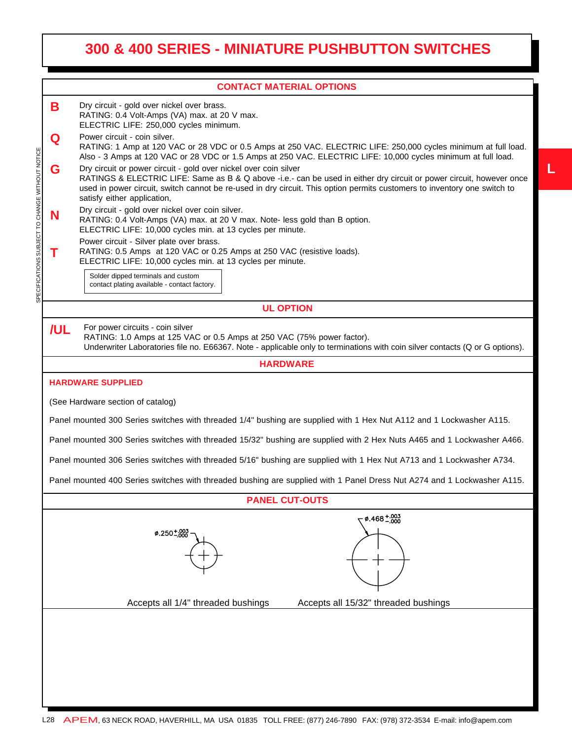**L**

|                                                 |                                                                                                                                                                                                                                                   | <b>CONTACT MATERIAL OPTIONS</b>                                                                                                                                                                                                                                                                                                                     |  |  |  |  |  |
|-------------------------------------------------|---------------------------------------------------------------------------------------------------------------------------------------------------------------------------------------------------------------------------------------------------|-----------------------------------------------------------------------------------------------------------------------------------------------------------------------------------------------------------------------------------------------------------------------------------------------------------------------------------------------------|--|--|--|--|--|
|                                                 | В                                                                                                                                                                                                                                                 | Dry circuit - gold over nickel over brass.<br>RATING: 0.4 Volt-Amps (VA) max. at 20 V max.<br>ELECTRIC LIFE: 250,000 cycles minimum.                                                                                                                                                                                                                |  |  |  |  |  |
|                                                 | Q                                                                                                                                                                                                                                                 | Power circuit - coin silver.<br>RATING: 1 Amp at 120 VAC or 28 VDC or 0.5 Amps at 250 VAC. ELECTRIC LIFE: 250,000 cycles minimum at full load.<br>Also - 3 Amps at 120 VAC or 28 VDC or 1.5 Amps at 250 VAC. ELECTRIC LIFE: 10,000 cycles minimum at full load.                                                                                     |  |  |  |  |  |
| SPECIFICATIONS SUBJECT TO CHANGE WITHOUT NOTICE | G                                                                                                                                                                                                                                                 | Dry circuit or power circuit - gold over nickel over coin silver<br>RATINGS & ELECTRIC LIFE: Same as B & Q above -i.e.- can be used in either dry circuit or power circuit, however once<br>used in power circuit, switch cannot be re-used in dry circuit. This option permits customers to inventory one switch to<br>satisfy either application, |  |  |  |  |  |
|                                                 | N                                                                                                                                                                                                                                                 | Dry circuit - gold over nickel over coin silver.<br>RATING: 0.4 Volt-Amps (VA) max. at 20 V max. Note- less gold than B option.<br>ELECTRIC LIFE: 10,000 cycles min. at 13 cycles per minute.                                                                                                                                                       |  |  |  |  |  |
|                                                 |                                                                                                                                                                                                                                                   | Power circuit - Silver plate over brass.<br>RATING: 0.5 Amps at 120 VAC or 0.25 Amps at 250 VAC (resistive loads).<br>ELECTRIC LIFE: 10,000 cycles min. at 13 cycles per minute.                                                                                                                                                                    |  |  |  |  |  |
|                                                 |                                                                                                                                                                                                                                                   | Solder dipped terminals and custom<br>contact plating available - contact factory.                                                                                                                                                                                                                                                                  |  |  |  |  |  |
|                                                 | <b>UL OPTION</b>                                                                                                                                                                                                                                  |                                                                                                                                                                                                                                                                                                                                                     |  |  |  |  |  |
|                                                 | For power circuits - coin silver<br>/UL<br>RATING: 1.0 Amps at 125 VAC or 0.5 Amps at 250 VAC (75% power factor).<br>Underwriter Laboratories file no. E66367. Note - applicable only to terminations with coin silver contacts (Q or G options). |                                                                                                                                                                                                                                                                                                                                                     |  |  |  |  |  |
|                                                 |                                                                                                                                                                                                                                                   | <b>HARDWARE</b>                                                                                                                                                                                                                                                                                                                                     |  |  |  |  |  |
|                                                 |                                                                                                                                                                                                                                                   | <b>HARDWARE SUPPLIED</b>                                                                                                                                                                                                                                                                                                                            |  |  |  |  |  |
|                                                 | (See Hardware section of catalog)                                                                                                                                                                                                                 |                                                                                                                                                                                                                                                                                                                                                     |  |  |  |  |  |
|                                                 | Panel mounted 300 Series switches with threaded 1/4" bushing are supplied with 1 Hex Nut A112 and 1 Lockwasher A115.                                                                                                                              |                                                                                                                                                                                                                                                                                                                                                     |  |  |  |  |  |
|                                                 | Panel mounted 300 Series switches with threaded 15/32" bushing are supplied with 2 Hex Nuts A465 and 1 Lockwasher A466.                                                                                                                           |                                                                                                                                                                                                                                                                                                                                                     |  |  |  |  |  |
|                                                 | Panel mounted 306 Series switches with threaded 5/16" bushing are supplied with 1 Hex Nut A713 and 1 Lockwasher A734.                                                                                                                             |                                                                                                                                                                                                                                                                                                                                                     |  |  |  |  |  |
|                                                 | Panel mounted 400 Series switches with threaded bushing are supplied with 1 Panel Dress Nut A274 and 1 Lockwasher A115.                                                                                                                           |                                                                                                                                                                                                                                                                                                                                                     |  |  |  |  |  |
|                                                 | <b>PANEL CUT-OUTS</b>                                                                                                                                                                                                                             |                                                                                                                                                                                                                                                                                                                                                     |  |  |  |  |  |
|                                                 |                                                                                                                                                                                                                                                   | $0.468^{+.003}_{-.000}$<br>$\phi$ .250 $\pm$ .003                                                                                                                                                                                                                                                                                                   |  |  |  |  |  |
|                                                 |                                                                                                                                                                                                                                                   | Accepts all 1/4" threaded bushings<br>Accepts all 15/32" threaded bushings                                                                                                                                                                                                                                                                          |  |  |  |  |  |
|                                                 |                                                                                                                                                                                                                                                   |                                                                                                                                                                                                                                                                                                                                                     |  |  |  |  |  |
|                                                 |                                                                                                                                                                                                                                                   |                                                                                                                                                                                                                                                                                                                                                     |  |  |  |  |  |
|                                                 |                                                                                                                                                                                                                                                   |                                                                                                                                                                                                                                                                                                                                                     |  |  |  |  |  |
|                                                 |                                                                                                                                                                                                                                                   |                                                                                                                                                                                                                                                                                                                                                     |  |  |  |  |  |
|                                                 |                                                                                                                                                                                                                                                   |                                                                                                                                                                                                                                                                                                                                                     |  |  |  |  |  |